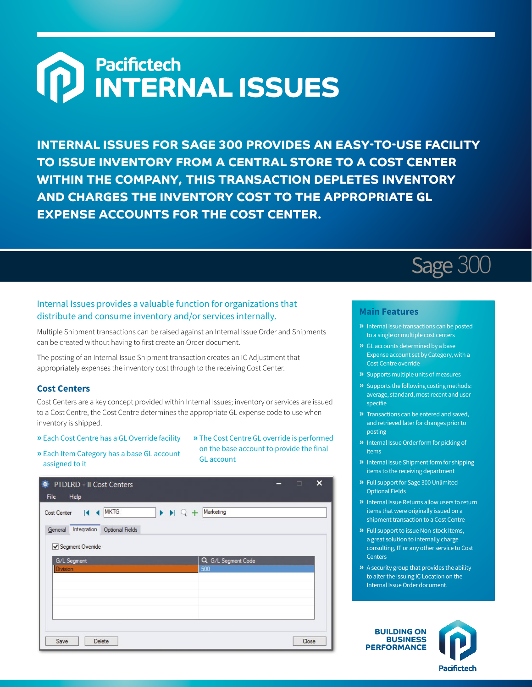# Pacifictech<br>INTERNAL ISSUES

**INTERNAL ISSUES FOR SAGE 300 PROVIDES AN EASY-TO-USE FACILITY TO ISSUE INVENTORY FROM A CENTRAL STORE TO A COST CENTER WITHIN THE COMPANY, THIS TRANSACTION DEPLETES INVENTORY AND CHARGES THE INVENTORY COST TO THE APPROPRIATE GL EXPENSE ACCOUNTS FOR THE COST CENTER.**

## Internal Issues provides a valuable function for organizations that distribute and consume inventory and/or services internally.

Multiple Shipment transactions can be raised against an Internal Issue Order and Shipments can be created without having to first create an Order document.

The posting of an Internal Issue Shipment transaction creates an IC Adjustment that appropriately expenses the inventory cost through to the receiving Cost Center.

### **Cost Centers**

Cost Centers are a key concept provided within Internal Issues; inventory or services are issued to a Cost Centre, the Cost Centre determines the appropriate GL expense code to use when inventory is shipped.

- **»** Each Cost Centre has a GL Override facility
- **»** The Cost Centre GL override is performed on the base account to provide the final GL account
- **»** Each Item Category has a base GL account assigned to it

| ۰<br>PTDLRD - II Cost Centers<br>Help<br>File                                                             | п     | $\times$ |
|-----------------------------------------------------------------------------------------------------------|-------|----------|
| <b>MKTG</b><br>$\blacktriangleright$ $\blacktriangleright$   $\heartsuit$ + Marketing<br>к<br>Cost Center |       |          |
| General Integration<br><b>Optional Fields</b><br>Segment Override                                         |       |          |
| Q G/L Segment Code<br>G/L Segment<br>500<br>Division                                                      |       |          |
|                                                                                                           |       |          |
|                                                                                                           |       |          |
| Save<br>Delete                                                                                            | Close |          |



# **Main Features**

- **»** Internal Issue transactions can be posted to a single or multiple cost centers
- **»** GL accounts determined by a base Expense account set by Category, with a Cost Centre override
- **»** Supports multiple units of measures
- **»** Supports the following costing methods: average, standard, most recent and userspecifie
- **»** Transactions can be entered and saved, and retrieved later for changes prior to posting
- **»** Internal Issue Order form for picking of items
- **»** Internal Issue Shipment form for shipping items to the receiving department
- **»** Full support for Sage 300 Unlimited Optional Fields
- **»** Internal Issue Returns allow users to return items that were originally issued on a shipment transaction to a Cost Centre
- **»** Full support to issue Non-stock Items, a great solution to internally charge consulting, IT or any other service to Cost **Centers**
- **»** A security group that provides the ability to alter the issuing IC Location on the Internal Issue Order document.